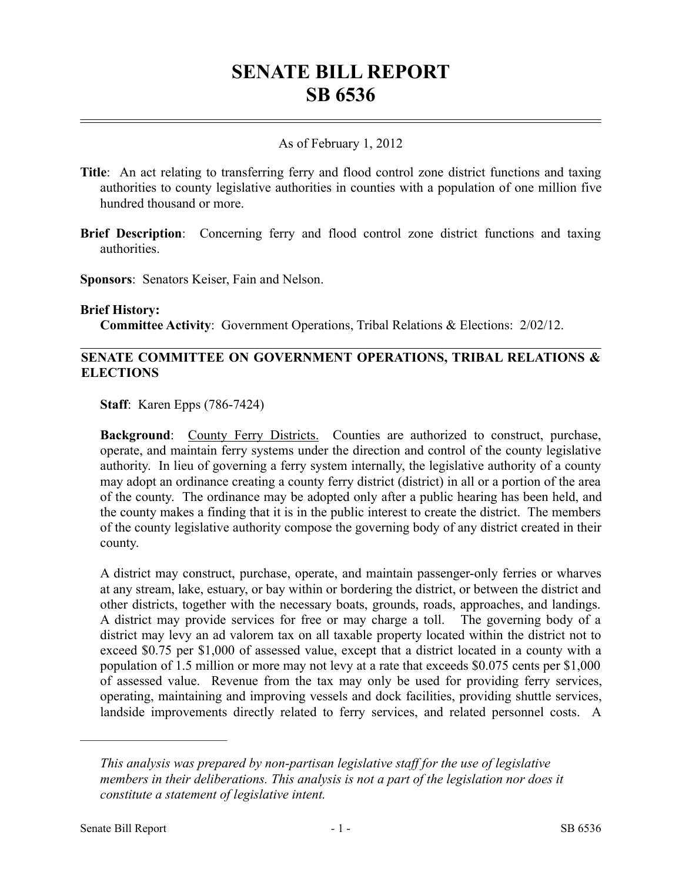# **SENATE BILL REPORT SB 6536**

#### As of February 1, 2012

- **Title**: An act relating to transferring ferry and flood control zone district functions and taxing authorities to county legislative authorities in counties with a population of one million five hundred thousand or more.
- **Brief Description**: Concerning ferry and flood control zone district functions and taxing authorities.
- **Sponsors**: Senators Keiser, Fain and Nelson.

#### **Brief History:**

**Committee Activity**: Government Operations, Tribal Relations & Elections: 2/02/12.

#### **SENATE COMMITTEE ON GOVERNMENT OPERATIONS, TRIBAL RELATIONS & ELECTIONS**

**Staff**: Karen Epps (786-7424)

**Background:** County Ferry Districts. Counties are authorized to construct, purchase, operate, and maintain ferry systems under the direction and control of the county legislative authority. In lieu of governing a ferry system internally, the legislative authority of a county may adopt an ordinance creating a county ferry district (district) in all or a portion of the area of the county. The ordinance may be adopted only after a public hearing has been held, and the county makes a finding that it is in the public interest to create the district. The members of the county legislative authority compose the governing body of any district created in their county.

A district may construct, purchase, operate, and maintain passenger-only ferries or wharves at any stream, lake, estuary, or bay within or bordering the district, or between the district and other districts, together with the necessary boats, grounds, roads, approaches, and landings. A district may provide services for free or may charge a toll. The governing body of a district may levy an ad valorem tax on all taxable property located within the district not to exceed \$0.75 per \$1,000 of assessed value, except that a district located in a county with a population of 1.5 million or more may not levy at a rate that exceeds \$0.075 cents per \$1,000 of assessed value. Revenue from the tax may only be used for providing ferry services, operating, maintaining and improving vessels and dock facilities, providing shuttle services, landside improvements directly related to ferry services, and related personnel costs. A

––––––––––––––––––––––

*This analysis was prepared by non-partisan legislative staff for the use of legislative members in their deliberations. This analysis is not a part of the legislation nor does it constitute a statement of legislative intent.*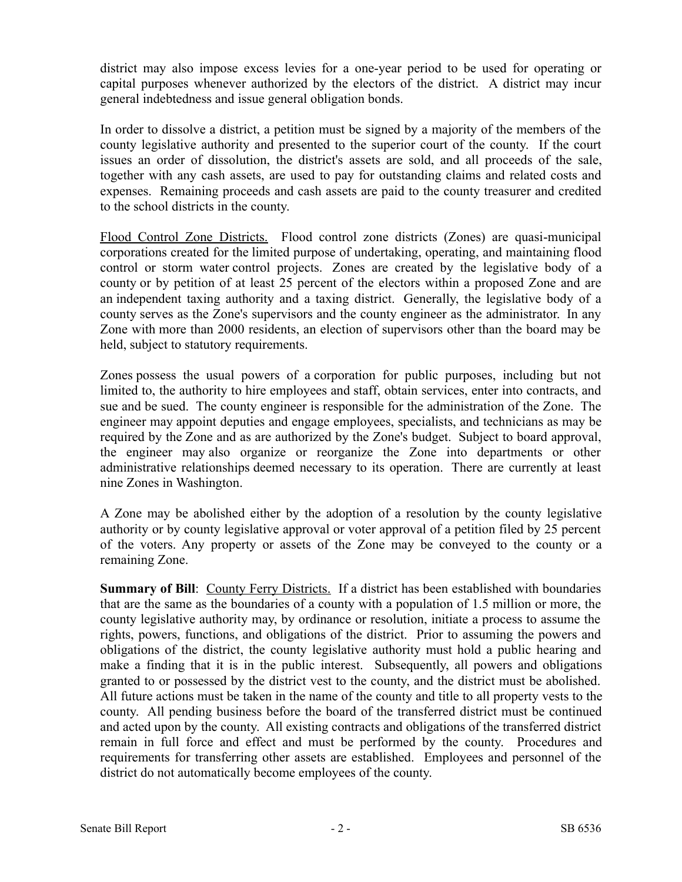district may also impose excess levies for a one-year period to be used for operating or capital purposes whenever authorized by the electors of the district. A district may incur general indebtedness and issue general obligation bonds.

In order to dissolve a district, a petition must be signed by a majority of the members of the county legislative authority and presented to the superior court of the county. If the court issues an order of dissolution, the district's assets are sold, and all proceeds of the sale, together with any cash assets, are used to pay for outstanding claims and related costs and expenses. Remaining proceeds and cash assets are paid to the county treasurer and credited to the school districts in the county.

Flood Control Zone Districts. Flood control zone districts (Zones) are quasi-municipal corporations created for the limited purpose of undertaking, operating, and maintaining flood control or storm water control projects. Zones are created by the legislative body of a county or by petition of at least 25 percent of the electors within a proposed Zone and are an independent taxing authority and a taxing district. Generally, the legislative body of a county serves as the Zone's supervisors and the county engineer as the administrator. In any Zone with more than 2000 residents, an election of supervisors other than the board may be held, subject to statutory requirements.

Zones possess the usual powers of a corporation for public purposes, including but not limited to, the authority to hire employees and staff, obtain services, enter into contracts, and sue and be sued. The county engineer is responsible for the administration of the Zone. The engineer may appoint deputies and engage employees, specialists, and technicians as may be required by the Zone and as are authorized by the Zone's budget. Subject to board approval, the engineer may also organize or reorganize the Zone into departments or other administrative relationships deemed necessary to its operation. There are currently at least nine Zones in Washington.

A Zone may be abolished either by the adoption of a resolution by the county legislative authority or by county legislative approval or voter approval of a petition filed by 25 percent of the voters. Any property or assets of the Zone may be conveyed to the county or a remaining Zone.

**Summary of Bill**: County Ferry Districts. If a district has been established with boundaries that are the same as the boundaries of a county with a population of 1.5 million or more, the county legislative authority may, by ordinance or resolution, initiate a process to assume the rights, powers, functions, and obligations of the district. Prior to assuming the powers and obligations of the district, the county legislative authority must hold a public hearing and make a finding that it is in the public interest. Subsequently, all powers and obligations granted to or possessed by the district vest to the county, and the district must be abolished. All future actions must be taken in the name of the county and title to all property vests to the county. All pending business before the board of the transferred district must be continued and acted upon by the county. All existing contracts and obligations of the transferred district remain in full force and effect and must be performed by the county. Procedures and requirements for transferring other assets are established. Employees and personnel of the district do not automatically become employees of the county.